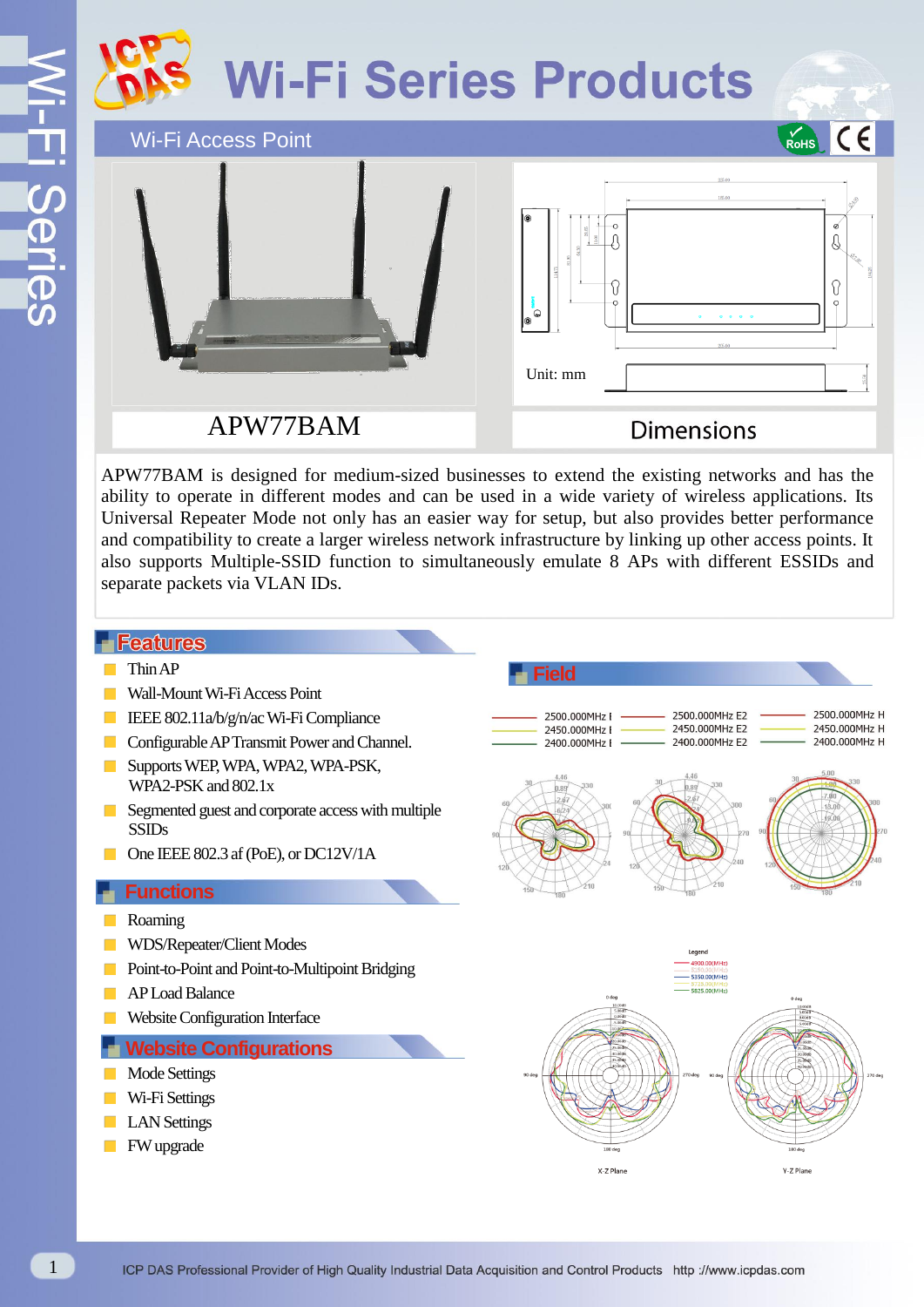# **Wi-Fi Series Products**

 $C<sub>6</sub>$ RoHS

Wi-Fi Access Point



APW77BAM

**Dimensions** 

APW77BAM is designed for medium-sized businesses to extend the existing networks and has the ability to operate in different modes and can be used in a wide variety of wireless applications. Its Universal Repeater Mode not only has an easier way for setup, but also provides better performance and compatibility to create a larger wireless network infrastructure by linking up other access points. It also supports Multiple-SSID function to simultaneously emulate 8 APs with different ESSIDs and separate packets via VLAN IDs.

### **Features**

- Thin AP
- Wall-Mount Wi-Fi Access Point
- **IEEE 802.11a/b/g/n/ac Wi-Fi Compliance**
- **Configurable AP Transmit Power and Channel.**
- Supports WEP, WPA, WPA2, WPA-PSK, WPA2-PSK and 802.1x
- Segmented guest and corporate access with multiple SSIDs
- One IEEE 802.3 af (PoE), or DC12V/1A

#### **Functions**

- Roaming
- WDS/Repeater/Client Modes
- **Point-to-Point and Point-to-Multipoint Bridging**
- AP Load Balance
- Website Configuration Interface

#### **Website Configurations**

- Mode Settings
- Wi-Fi Settings
- **LAN** Settings
- **FW** upgrade

**Field** 2500.000MHz H 2500 000MHz E2 2500.000MHz E 2450.000MHz E2 2450.000MHz H 2450.000MHz F 2400.000MHz E2 2400.000MHz H 2400 000MHz F